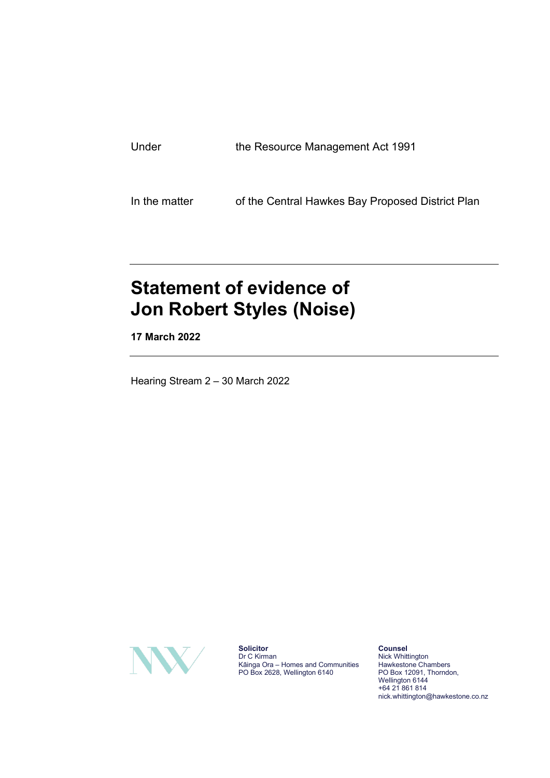In the matter of the Central Hawkes Bay Proposed District Plan

# **Statement of evidence of Jon Robert Styles (Noise)**

**17 March 2022**

Hearing Stream 2 – 30 March 2022



**Solicitor** Dr C Kirman Kāinga Ora – Homes and Communities PO Box 2628, Wellington 6140

**Counsel** Nick Whittington Hawkestone Chambers PO Box 12091, Thorndon, Wellington 6144 +64 21 861 814 nick.whittington@hawkestone.co.nz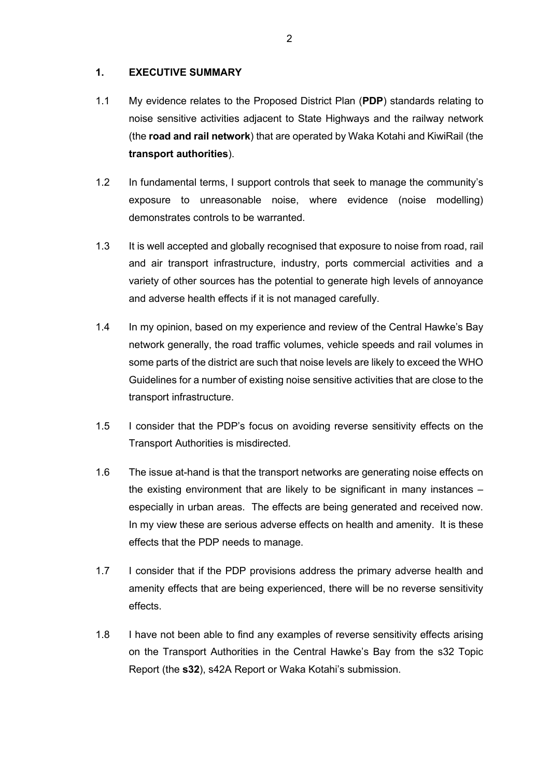#### **1. EXECUTIVE SUMMARY**

- 1.1 My evidence relates to the Proposed District Plan (**PDP**) standards relating to noise sensitive activities adjacent to State Highways and the railway network (the **road and rail network**) that are operated by Waka Kotahi and KiwiRail (the **transport authorities**).
- 1.2 In fundamental terms, I support controls that seek to manage the community's exposure to unreasonable noise, where evidence (noise modelling) demonstrates controls to be warranted.
- 1.3 It is well accepted and globally recognised that exposure to noise from road, rail and air transport infrastructure, industry, ports commercial activities and a variety of other sources has the potential to generate high levels of annoyance and adverse health effects if it is not managed carefully.
- 1.4 In my opinion, based on my experience and review of the Central Hawke's Bay network generally, the road traffic volumes, vehicle speeds and rail volumes in some parts of the district are such that noise levels are likely to exceed the WHO Guidelines for a number of existing noise sensitive activities that are close to the transport infrastructure.
- 1.5 I consider that the PDP's focus on avoiding reverse sensitivity effects on the Transport Authorities is misdirected.
- 1.6 The issue at-hand is that the transport networks are generating noise effects on the existing environment that are likely to be significant in many instances – especially in urban areas. The effects are being generated and received now. In my view these are serious adverse effects on health and amenity. It is these effects that the PDP needs to manage.
- 1.7 I consider that if the PDP provisions address the primary adverse health and amenity effects that are being experienced, there will be no reverse sensitivity effects.
- 1.8 I have not been able to find any examples of reverse sensitivity effects arising on the Transport Authorities in the Central Hawke's Bay from the s32 Topic Report (the **s32**), s42A Report or Waka Kotahi's submission.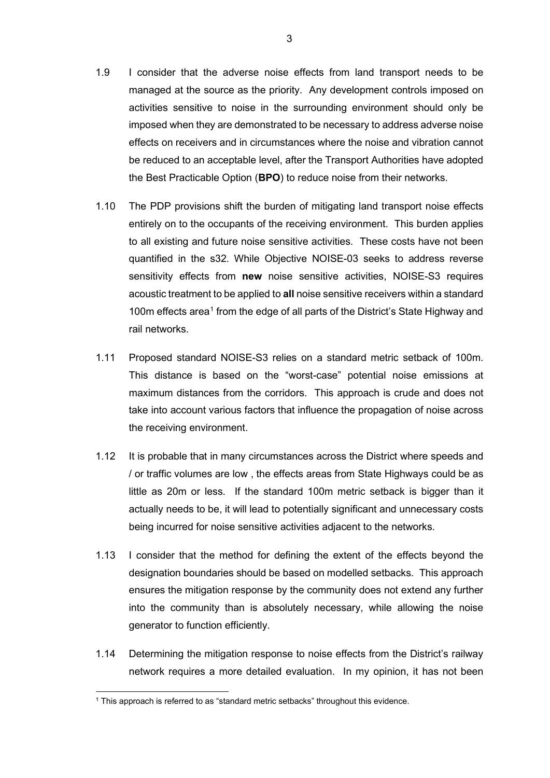- 1.9 I consider that the adverse noise effects from land transport needs to be managed at the source as the priority. Any development controls imposed on activities sensitive to noise in the surrounding environment should only be imposed when they are demonstrated to be necessary to address adverse noise effects on receivers and in circumstances where the noise and vibration cannot be reduced to an acceptable level, after the Transport Authorities have adopted the Best Practicable Option (**BPO**) to reduce noise from their networks.
- 1.10 The PDP provisions shift the burden of mitigating land transport noise effects entirely on to the occupants of the receiving environment. This burden applies to all existing and future noise sensitive activities. These costs have not been quantified in the s32. While Objective NOISE-03 seeks to address reverse sensitivity effects from **new** noise sensitive activities, NOISE-S3 requires acoustic treatment to be applied to **all** noise sensitive receivers within a standard [1](#page-2-0)00m effects area<sup>1</sup> from the edge of all parts of the District's State Highway and rail networks.
- 1.11 Proposed standard NOISE-S3 relies on a standard metric setback of 100m. This distance is based on the "worst-case" potential noise emissions at maximum distances from the corridors. This approach is crude and does not take into account various factors that influence the propagation of noise across the receiving environment.
- 1.12 It is probable that in many circumstances across the District where speeds and / or traffic volumes are low , the effects areas from State Highways could be as little as 20m or less. If the standard 100m metric setback is bigger than it actually needs to be, it will lead to potentially significant and unnecessary costs being incurred for noise sensitive activities adjacent to the networks.
- 1.13 I consider that the method for defining the extent of the effects beyond the designation boundaries should be based on modelled setbacks. This approach ensures the mitigation response by the community does not extend any further into the community than is absolutely necessary, while allowing the noise generator to function efficiently.
- 1.14 Determining the mitigation response to noise effects from the District's railway network requires a more detailed evaluation. In my opinion, it has not been

<span id="page-2-0"></span><sup>&</sup>lt;sup>1</sup> This approach is referred to as "standard metric setbacks" throughout this evidence.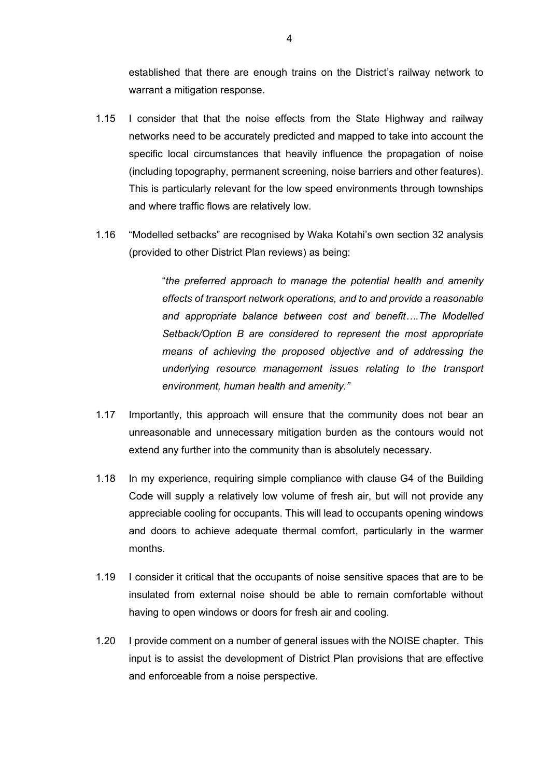established that there are enough trains on the District's railway network to warrant a mitigation response.

- 1.15 I consider that that the noise effects from the State Highway and railway networks need to be accurately predicted and mapped to take into account the specific local circumstances that heavily influence the propagation of noise (including topography, permanent screening, noise barriers and other features). This is particularly relevant for the low speed environments through townships and where traffic flows are relatively low.
- 1.16 "Modelled setbacks" are recognised by Waka Kotahi's own section 32 analysis (provided to other District Plan reviews) as being:

"*the preferred approach to manage the potential health and amenity effects of transport network operations, and to and provide a reasonable and appropriate balance between cost and benefit….The Modelled Setback/Option B are considered to represent the most appropriate means of achieving the proposed objective and of addressing the underlying resource management issues relating to the transport environment, human health and amenity."*

- 1.17 Importantly, this approach will ensure that the community does not bear an unreasonable and unnecessary mitigation burden as the contours would not extend any further into the community than is absolutely necessary.
- 1.18 In my experience, requiring simple compliance with clause G4 of the Building Code will supply a relatively low volume of fresh air, but will not provide any appreciable cooling for occupants. This will lead to occupants opening windows and doors to achieve adequate thermal comfort, particularly in the warmer months.
- 1.19 I consider it critical that the occupants of noise sensitive spaces that are to be insulated from external noise should be able to remain comfortable without having to open windows or doors for fresh air and cooling.
- 1.20 I provide comment on a number of general issues with the NOISE chapter. This input is to assist the development of District Plan provisions that are effective and enforceable from a noise perspective.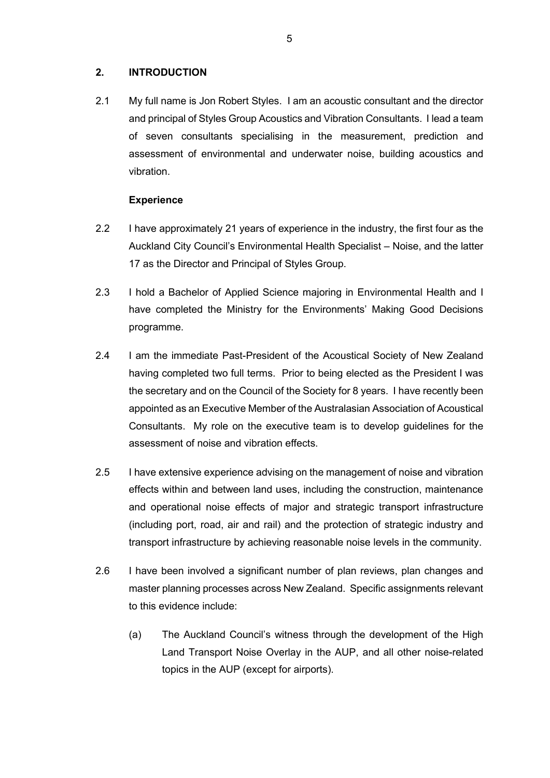## **2. INTRODUCTION**

2.1 My full name is Jon Robert Styles. I am an acoustic consultant and the director and principal of Styles Group Acoustics and Vibration Consultants. I lead a team of seven consultants specialising in the measurement, prediction and assessment of environmental and underwater noise, building acoustics and vibration.

#### **Experience**

- 2.2 I have approximately 21 years of experience in the industry, the first four as the Auckland City Council's Environmental Health Specialist – Noise, and the latter 17 as the Director and Principal of Styles Group.
- 2.3 I hold a Bachelor of Applied Science majoring in Environmental Health and I have completed the Ministry for the Environments' Making Good Decisions programme.
- 2.4 I am the immediate Past-President of the Acoustical Society of New Zealand having completed two full terms. Prior to being elected as the President I was the secretary and on the Council of the Society for 8 years. I have recently been appointed as an Executive Member of the Australasian Association of Acoustical Consultants. My role on the executive team is to develop guidelines for the assessment of noise and vibration effects.
- 2.5 I have extensive experience advising on the management of noise and vibration effects within and between land uses, including the construction, maintenance and operational noise effects of major and strategic transport infrastructure (including port, road, air and rail) and the protection of strategic industry and transport infrastructure by achieving reasonable noise levels in the community.
- 2.6 I have been involved a significant number of plan reviews, plan changes and master planning processes across New Zealand. Specific assignments relevant to this evidence include:
	- (a) The Auckland Council's witness through the development of the High Land Transport Noise Overlay in the AUP, and all other noise-related topics in the AUP (except for airports).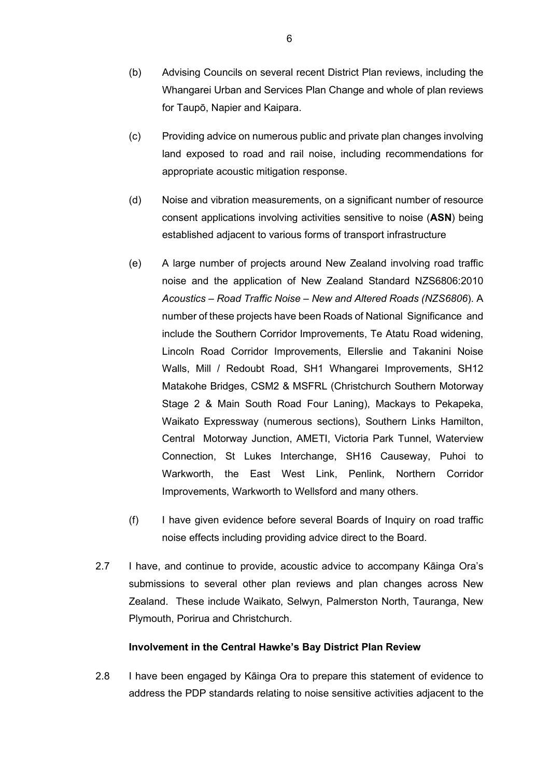- (b) Advising Councils on several recent District Plan reviews, including the Whangarei Urban and Services Plan Change and whole of plan reviews for Taupō, Napier and Kaipara.
- (c) Providing advice on numerous public and private plan changes involving land exposed to road and rail noise, including recommendations for appropriate acoustic mitigation response.
- (d) Noise and vibration measurements, on a significant number of resource consent applications involving activities sensitive to noise (**ASN**) being established adjacent to various forms of transport infrastructure
- (e) A large number of projects around New Zealand involving road traffic noise and the application of New Zealand Standard NZS6806:2010 *Acoustics – Road Traffic Noise – New and Altered Roads (NZS6806*). A number of these projects have been Roads of National Significance and include the Southern Corridor Improvements, Te Atatu Road widening, Lincoln Road Corridor Improvements, Ellerslie and Takanini Noise Walls, Mill / Redoubt Road, SH1 Whangarei Improvements, SH12 Matakohe Bridges, CSM2 & MSFRL (Christchurch Southern Motorway Stage 2 & Main South Road Four Laning), Mackays to Pekapeka, Waikato Expressway (numerous sections), Southern Links Hamilton, Central Motorway Junction, AMETI, Victoria Park Tunnel, Waterview Connection, St Lukes Interchange, SH16 Causeway, Puhoi to Warkworth, the East West Link, Penlink, Northern Corridor Improvements, Warkworth to Wellsford and many others.
- (f) I have given evidence before several Boards of Inquiry on road traffic noise effects including providing advice direct to the Board.
- 2.7 I have, and continue to provide, acoustic advice to accompany Kāinga Ora's submissions to several other plan reviews and plan changes across New Zealand. These include Waikato, Selwyn, Palmerston North, Tauranga, New Plymouth, Porirua and Christchurch.

## **Involvement in the Central Hawke's Bay District Plan Review**

2.8 I have been engaged by Kāinga Ora to prepare this statement of evidence to address the PDP standards relating to noise sensitive activities adjacent to the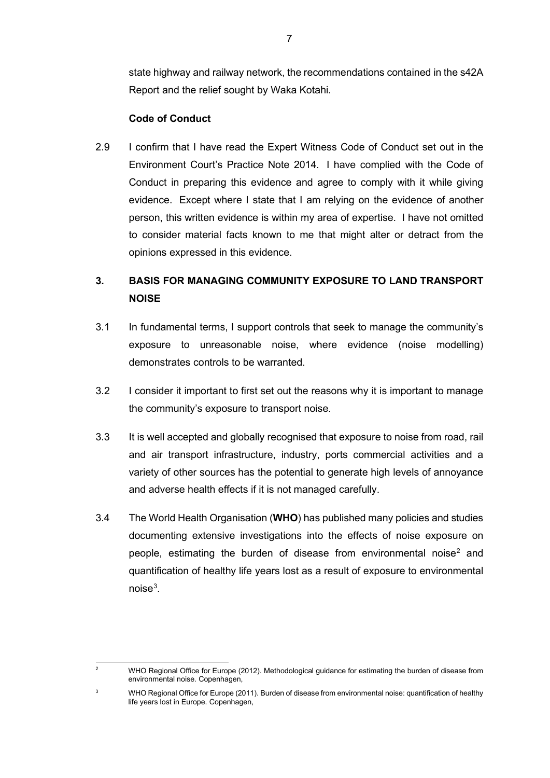state highway and railway network, the recommendations contained in the s42A Report and the relief sought by Waka Kotahi.

## **Code of Conduct**

2.9 I confirm that I have read the Expert Witness Code of Conduct set out in the Environment Court's Practice Note 2014. I have complied with the Code of Conduct in preparing this evidence and agree to comply with it while giving evidence. Except where I state that I am relying on the evidence of another person, this written evidence is within my area of expertise. I have not omitted to consider material facts known to me that might alter or detract from the opinions expressed in this evidence.

# **3. BASIS FOR MANAGING COMMUNITY EXPOSURE TO LAND TRANSPORT NOISE**

- 3.1 In fundamental terms, I support controls that seek to manage the community's exposure to unreasonable noise, where evidence (noise modelling) demonstrates controls to be warranted.
- 3.2 I consider it important to first set out the reasons why it is important to manage the community's exposure to transport noise.
- 3.3 It is well accepted and globally recognised that exposure to noise from road, rail and air transport infrastructure, industry, ports commercial activities and a variety of other sources has the potential to generate high levels of annoyance and adverse health effects if it is not managed carefully.
- 3.4 The World Health Organisation (**WHO**) has published many policies and studies documenting extensive investigations into the effects of noise exposure on people, estimating the burden of disease from environmental noise<sup>[2](#page-6-0)</sup> and quantification of healthy life years lost as a result of exposure to environmental noise<sup>[3](#page-6-1)</sup>.

<span id="page-6-0"></span><sup>&</sup>lt;sup>2</sup> WHO Regional Office for Europe (2012). Methodological guidance for estimating the burden of disease from environmental noise. Copenhagen,

<span id="page-6-1"></span><sup>&</sup>lt;sup>3</sup> WHO Regional Office for Europe (2011). Burden of disease from environmental noise: quantification of healthy life years lost in Europe. Copenhagen,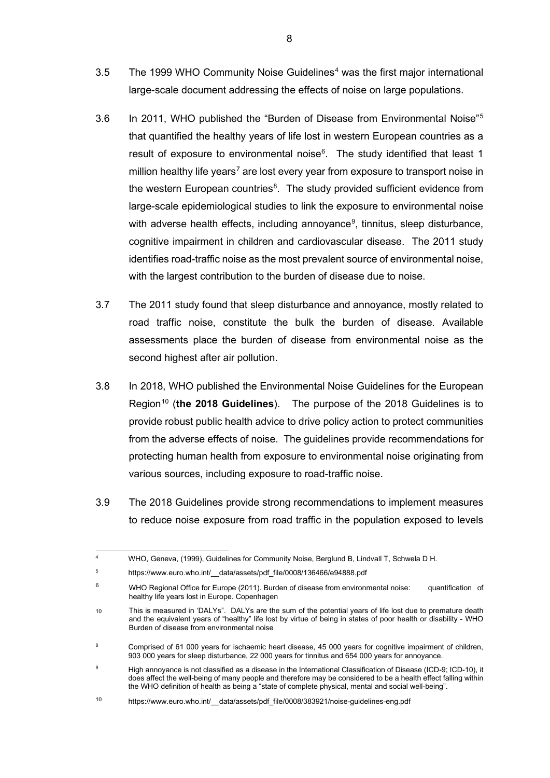- 3.5 The 1999 WHO Community Noise Guidelines<sup>[4](#page-7-0)</sup> was the first major international large-scale document addressing the effects of noise on large populations.
- 3.6 In 2011, WHO published the "Burden of Disease from Environmental Noise"[5](#page-7-1) that quantified the healthy years of life lost in western European countries as a result of exposure to environmental noise<sup>[6](#page-7-2)</sup>. The study identified that least 1 million healthy life years<sup>[7](#page-7-3)</sup> are lost every year from exposure to transport noise in the western European countries<sup>[8](#page-7-4)</sup>. The study provided sufficient evidence from large-scale epidemiological studies to link the exposure to environmental noise with adverse health effects, including annoyance<sup>[9](#page-7-5)</sup>, tinnitus, sleep disturbance, cognitive impairment in children and cardiovascular disease. The 2011 study identifies road-traffic noise as the most prevalent source of environmental noise, with the largest contribution to the burden of disease due to noise.
- 3.7 The 2011 study found that sleep disturbance and annoyance, mostly related to road traffic noise, constitute the bulk the burden of disease. Available assessments place the burden of disease from environmental noise as the second highest after air pollution.
- 3.8 In 2018, WHO published the Environmental Noise Guidelines for the European Region<sup>[10](#page-7-6)</sup> (the 2018 Guidelines). The purpose of the 2018 Guidelines is to provide robust public health advice to drive policy action to protect communities from the adverse effects of noise. The guidelines provide recommendations for protecting human health from exposure to environmental noise originating from various sources, including exposure to road-traffic noise.
- 3.9 The 2018 Guidelines provide strong recommendations to implement measures to reduce noise exposure from road traffic in the population exposed to levels

<span id="page-7-0"></span><sup>4</sup> WHO, Geneva, (1999), Guidelines for Community Noise, Berglund B, Lindvall T, Schwela D H.

<span id="page-7-1"></span><sup>5</sup> https://www.euro.who.int/ data/assets/pdf file/0008/136466/e94888.pdf

<span id="page-7-2"></span><sup>6</sup> WHO Regional Office for Europe (2011). Burden of disease from environmental noise: quantification of healthy life years lost in Europe. Copenhagen

<span id="page-7-3"></span><sup>10</sup> This is measured in 'DALYs". DALYs are the sum of the potential years of life lost due to premature death and the equivalent years of "healthy" life lost by virtue of being in states of poor health or disability - WHO Burden of disease from environmental noise

<span id="page-7-4"></span><sup>8</sup> Comprised of 61 000 years for ischaemic heart disease, 45 000 years for cognitive impairment of children, 903 000 years for sleep disturbance, 22 000 years for tinnitus and 654 000 years for annoyance.

<span id="page-7-5"></span><sup>9</sup> High annoyance is not classified as a disease in the International Classification of Disease (ICD-9; ICD-10), it does affect the well-being of many people and therefore may be considered to be a health effect falling within the WHO definition of health as being a "state of complete physical, mental and social well-being".

<span id="page-7-6"></span><sup>10</sup> https://www.euro.who.int/ data/assets/pdf file/0008/383921/noise-guidelines-eng.pdf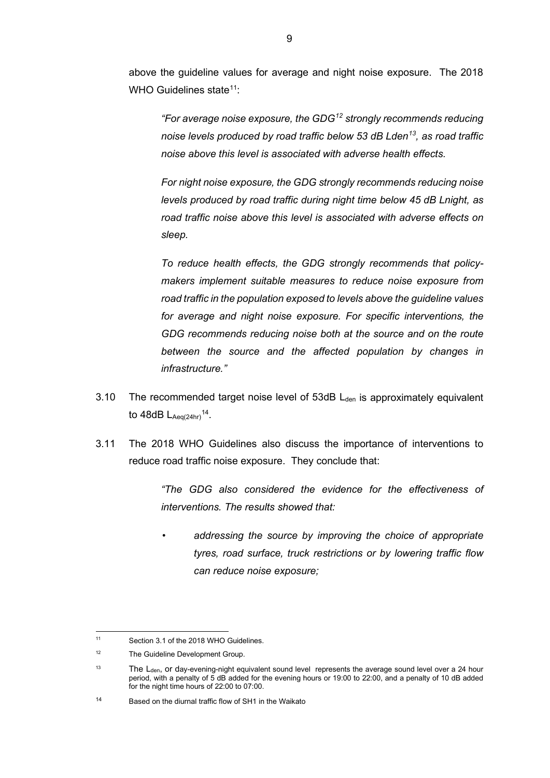above the guideline values for average and night noise exposure. The 2018 WHO Guidelines state<sup>11</sup>:

*"For average noise exposure, the GDG[12](#page-8-1) strongly recommends reducing noise levels produced by road traffic below 53 dB Lden[13](#page-8-2), as road traffic noise above this level is associated with adverse health effects.*

*For night noise exposure, the GDG strongly recommends reducing noise levels produced by road traffic during night time below 45 dB Lnight, as road traffic noise above this level is associated with adverse effects on sleep.*

*To reduce health effects, the GDG strongly recommends that policymakers implement suitable measures to reduce noise exposure from road traffic in the population exposed to levels above the guideline values for average and night noise exposure. For specific interventions, the GDG recommends reducing noise both at the source and on the route between the source and the affected population by changes in infrastructure."*

- 3.10 The recommended target noise level of  $53dB$  L<sub>den</sub> is approximately equivalent to  $48dB$  L<sub>Aeq(24hr)</sub><sup>14</sup>.
- 3.11 The 2018 WHO Guidelines also discuss the importance of interventions to reduce road traffic noise exposure. They conclude that:

*"The GDG also considered the evidence for the effectiveness of interventions. The results showed that:* 

*• addressing the source by improving the choice of appropriate tyres, road surface, truck restrictions or by lowering traffic flow can reduce noise exposure;*

<span id="page-8-0"></span><sup>11</sup> Section 3.1 of the 2018 WHO Guidelines.

<span id="page-8-1"></span><sup>12</sup> The Guideline Development Group.

<span id="page-8-2"></span><sup>&</sup>lt;sup>13</sup> The L<sub>den</sub>, or day-evening-night equivalent sound level represents the average sound level over a 24 hour period, with a penalty of 5 dB added for the evening hours or 19:00 to 22:00, and a penalty of 10 dB added for the night time hours of 22:00 to 07:00.

<span id="page-8-3"></span><sup>14</sup> Based on the diurnal traffic flow of SH1 in the Waikato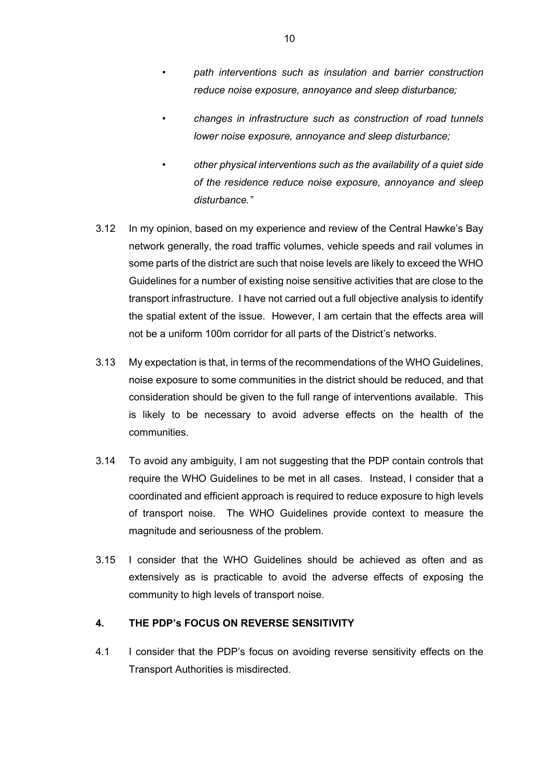- *• path interventions such as insulation and barrier construction reduce noise exposure, annoyance and sleep disturbance;*
- *• changes in infrastructure such as construction of road tunnels lower noise exposure, annoyance and sleep disturbance;*
- *• other physical interventions such as the availability of a quiet side of the residence reduce noise exposure, annoyance and sleep disturbance."*
- 3.12 In my opinion, based on my experience and review of the Central Hawke's Bay network generally, the road traffic volumes, vehicle speeds and rail volumes in some parts of the district are such that noise levels are likely to exceed the WHO Guidelines for a number of existing noise sensitive activities that are close to the transport infrastructure. I have not carried out a full objective analysis to identify the spatial extent of the issue. However, I am certain that the effects area will not be a uniform 100m corridor for all parts of the District's networks.
- 3.13 My expectation is that, in terms of the recommendations of the WHO Guidelines, noise exposure to some communities in the district should be reduced, and that consideration should be given to the full range of interventions available. This is likely to be necessary to avoid adverse effects on the health of the communities.
- 3.14 To avoid any ambiguity, I am not suggesting that the PDP contain controls that require the WHO Guidelines to be met in all cases. Instead, I consider that a coordinated and efficient approach is required to reduce exposure to high levels of transport noise. The WHO Guidelines provide context to measure the magnitude and seriousness of the problem.
- 3.15 I consider that the WHO Guidelines should be achieved as often and as extensively as is practicable to avoid the adverse effects of exposing the community to high levels of transport noise.

## **4. THE PDP's FOCUS ON REVERSE SENSITIVITY**

4.1 I consider that the PDP's focus on avoiding reverse sensitivity effects on the Transport Authorities is misdirected.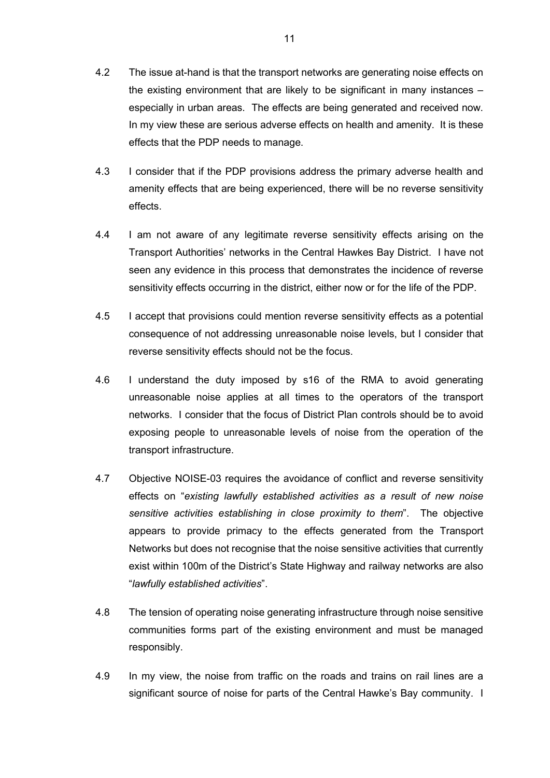- 4.2 The issue at-hand is that the transport networks are generating noise effects on the existing environment that are likely to be significant in many instances – especially in urban areas. The effects are being generated and received now. In my view these are serious adverse effects on health and amenity. It is these effects that the PDP needs to manage.
- 4.3 I consider that if the PDP provisions address the primary adverse health and amenity effects that are being experienced, there will be no reverse sensitivity effects.
- 4.4 I am not aware of any legitimate reverse sensitivity effects arising on the Transport Authorities' networks in the Central Hawkes Bay District. I have not seen any evidence in this process that demonstrates the incidence of reverse sensitivity effects occurring in the district, either now or for the life of the PDP.
- 4.5 I accept that provisions could mention reverse sensitivity effects as a potential consequence of not addressing unreasonable noise levels, but I consider that reverse sensitivity effects should not be the focus.
- 4.6 I understand the duty imposed by s16 of the RMA to avoid generating unreasonable noise applies at all times to the operators of the transport networks. I consider that the focus of District Plan controls should be to avoid exposing people to unreasonable levels of noise from the operation of the transport infrastructure.
- 4.7 Objective NOISE-03 requires the avoidance of conflict and reverse sensitivity effects on "*existing lawfully established activities as a result of new noise sensitive activities establishing in close proximity to them*". The objective appears to provide primacy to the effects generated from the Transport Networks but does not recognise that the noise sensitive activities that currently exist within 100m of the District's State Highway and railway networks are also "*lawfully established activities*".
- 4.8 The tension of operating noise generating infrastructure through noise sensitive communities forms part of the existing environment and must be managed responsibly.
- 4.9 In my view, the noise from traffic on the roads and trains on rail lines are a significant source of noise for parts of the Central Hawke's Bay community. I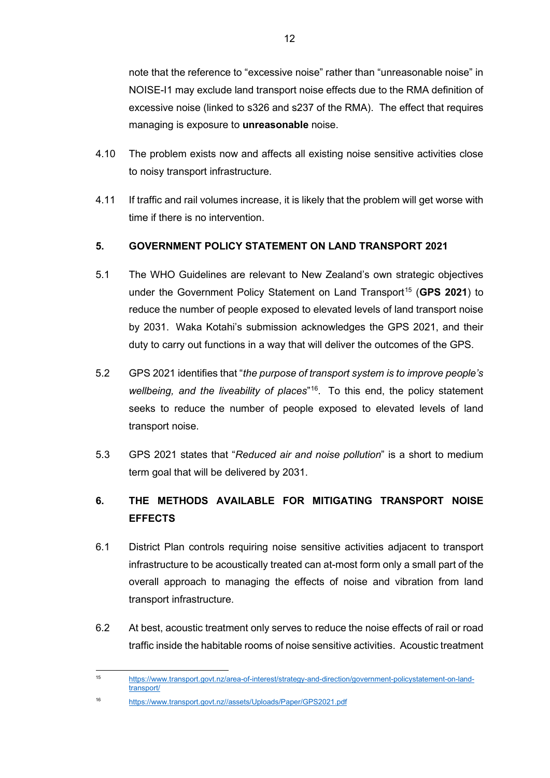note that the reference to "excessive noise" rather than "unreasonable noise" in NOISE-I1 may exclude land transport noise effects due to the RMA definition of excessive noise (linked to s326 and s237 of the RMA). The effect that requires managing is exposure to **unreasonable** noise.

- 4.10 The problem exists now and affects all existing noise sensitive activities close to noisy transport infrastructure.
- 4.11 If traffic and rail volumes increase, it is likely that the problem will get worse with time if there is no intervention.

## **5. GOVERNMENT POLICY STATEMENT ON LAND TRANSPORT 2021**

- 5.1 The WHO Guidelines are relevant to New Zealand's own strategic objectives under the Government Policy Statement on Land Transport<sup>15</sup> (GPS 2021) to reduce the number of people exposed to elevated levels of land transport noise by 2031. Waka Kotahi's submission acknowledges the GPS 2021, and their duty to carry out functions in a way that will deliver the outcomes of the GPS.
- 5.2 GPS 2021 identifies that "*the purpose of transport system is to improve people's wellbeing, and the liveability of places*"[16](#page-11-1). To this end, the policy statement seeks to reduce the number of people exposed to elevated levels of land transport noise.
- 5.3 GPS 2021 states that "*Reduced air and noise pollution*" is a short to medium term goal that will be delivered by 2031.

# **6. THE METHODS AVAILABLE FOR MITIGATING TRANSPORT NOISE EFFECTS**

- 6.1 District Plan controls requiring noise sensitive activities adjacent to transport infrastructure to be acoustically treated can at-most form only a small part of the overall approach to managing the effects of noise and vibration from land transport infrastructure.
- 6.2 At best, acoustic treatment only serves to reduce the noise effects of rail or road traffic inside the habitable rooms of noise sensitive activities. Acoustic treatment

<span id="page-11-0"></span><sup>15</sup> [https://www.transport.govt.nz/area-of-interest/strategy-and-direction/government-policystatement-on-land](https://www.transport.govt.nz/area-of-interest/strategy-and-direction/government-policystatement-on-land-transport/)[transport/](https://www.transport.govt.nz/area-of-interest/strategy-and-direction/government-policystatement-on-land-transport/) 

<span id="page-11-1"></span><sup>16</sup> [https://www.transport.govt.nz//assets/Uploads/Paper/GPS2021.pdf](https://www.transport.govt.nz/assets/Uploads/Paper/GPS2021.pdf)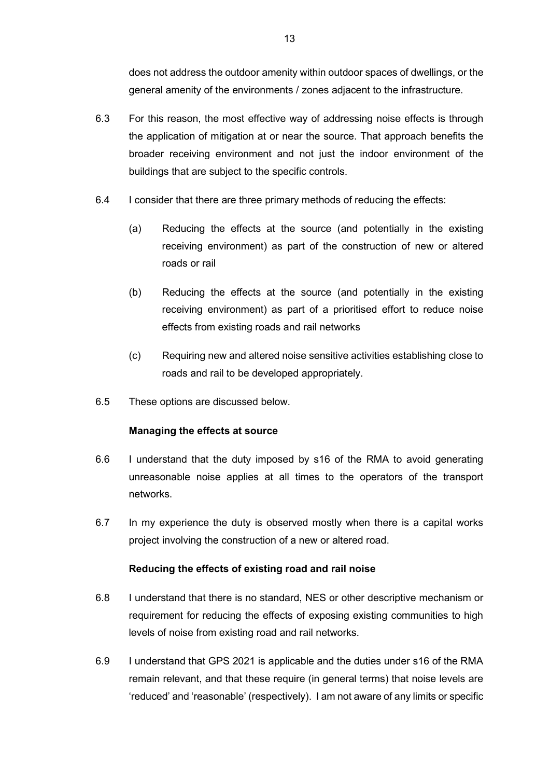does not address the outdoor amenity within outdoor spaces of dwellings, or the general amenity of the environments / zones adjacent to the infrastructure.

- 6.3 For this reason, the most effective way of addressing noise effects is through the application of mitigation at or near the source. That approach benefits the broader receiving environment and not just the indoor environment of the buildings that are subject to the specific controls.
- 6.4 I consider that there are three primary methods of reducing the effects:
	- (a) Reducing the effects at the source (and potentially in the existing receiving environment) as part of the construction of new or altered roads or rail
	- (b) Reducing the effects at the source (and potentially in the existing receiving environment) as part of a prioritised effort to reduce noise effects from existing roads and rail networks
	- (c) Requiring new and altered noise sensitive activities establishing close to roads and rail to be developed appropriately.
- 6.5 These options are discussed below.

## **Managing the effects at source**

- 6.6 I understand that the duty imposed by s16 of the RMA to avoid generating unreasonable noise applies at all times to the operators of the transport networks.
- 6.7 In my experience the duty is observed mostly when there is a capital works project involving the construction of a new or altered road.

## **Reducing the effects of existing road and rail noise**

- 6.8 I understand that there is no standard, NES or other descriptive mechanism or requirement for reducing the effects of exposing existing communities to high levels of noise from existing road and rail networks.
- 6.9 I understand that GPS 2021 is applicable and the duties under s16 of the RMA remain relevant, and that these require (in general terms) that noise levels are 'reduced' and 'reasonable' (respectively). I am not aware of any limits or specific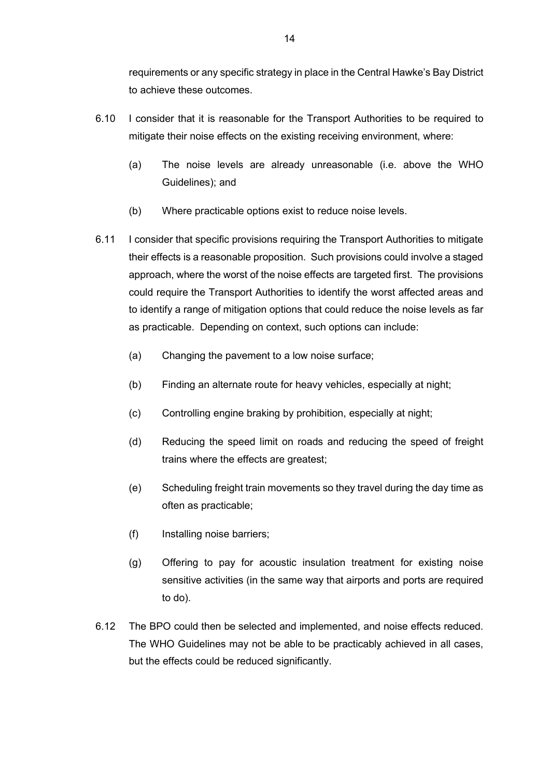requirements or any specific strategy in place in the Central Hawke's Bay District to achieve these outcomes.

- 6.10 I consider that it is reasonable for the Transport Authorities to be required to mitigate their noise effects on the existing receiving environment, where:
	- (a) The noise levels are already unreasonable (i.e. above the WHO Guidelines); and
	- (b) Where practicable options exist to reduce noise levels.
- 6.11 I consider that specific provisions requiring the Transport Authorities to mitigate their effects is a reasonable proposition. Such provisions could involve a staged approach, where the worst of the noise effects are targeted first. The provisions could require the Transport Authorities to identify the worst affected areas and to identify a range of mitigation options that could reduce the noise levels as far as practicable. Depending on context, such options can include:
	- (a) Changing the pavement to a low noise surface;
	- (b) Finding an alternate route for heavy vehicles, especially at night;
	- (c) Controlling engine braking by prohibition, especially at night;
	- (d) Reducing the speed limit on roads and reducing the speed of freight trains where the effects are greatest;
	- (e) Scheduling freight train movements so they travel during the day time as often as practicable;
	- (f) Installing noise barriers;
	- (g) Offering to pay for acoustic insulation treatment for existing noise sensitive activities (in the same way that airports and ports are required to do).
- 6.12 The BPO could then be selected and implemented, and noise effects reduced. The WHO Guidelines may not be able to be practicably achieved in all cases, but the effects could be reduced significantly.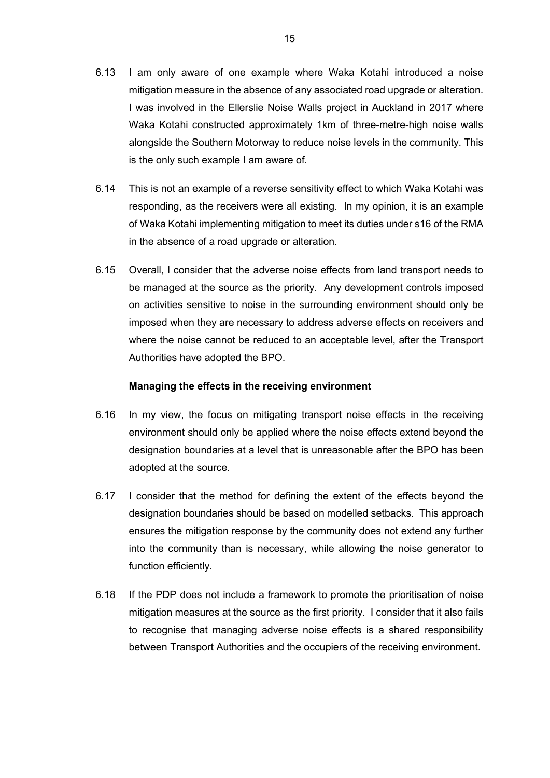- 6.13 I am only aware of one example where Waka Kotahi introduced a noise mitigation measure in the absence of any associated road upgrade or alteration. I was involved in the Ellerslie Noise Walls project in Auckland in 2017 where Waka Kotahi constructed approximately 1km of three-metre-high noise walls alongside the Southern Motorway to reduce noise levels in the community. This is the only such example I am aware of.
- 6.14 This is not an example of a reverse sensitivity effect to which Waka Kotahi was responding, as the receivers were all existing. In my opinion, it is an example of Waka Kotahi implementing mitigation to meet its duties under s16 of the RMA in the absence of a road upgrade or alteration.
- 6.15 Overall, I consider that the adverse noise effects from land transport needs to be managed at the source as the priority. Any development controls imposed on activities sensitive to noise in the surrounding environment should only be imposed when they are necessary to address adverse effects on receivers and where the noise cannot be reduced to an acceptable level, after the Transport Authorities have adopted the BPO.

#### **Managing the effects in the receiving environment**

- 6.16 In my view, the focus on mitigating transport noise effects in the receiving environment should only be applied where the noise effects extend beyond the designation boundaries at a level that is unreasonable after the BPO has been adopted at the source.
- 6.17 I consider that the method for defining the extent of the effects beyond the designation boundaries should be based on modelled setbacks. This approach ensures the mitigation response by the community does not extend any further into the community than is necessary, while allowing the noise generator to function efficiently.
- 6.18 If the PDP does not include a framework to promote the prioritisation of noise mitigation measures at the source as the first priority. I consider that it also fails to recognise that managing adverse noise effects is a shared responsibility between Transport Authorities and the occupiers of the receiving environment.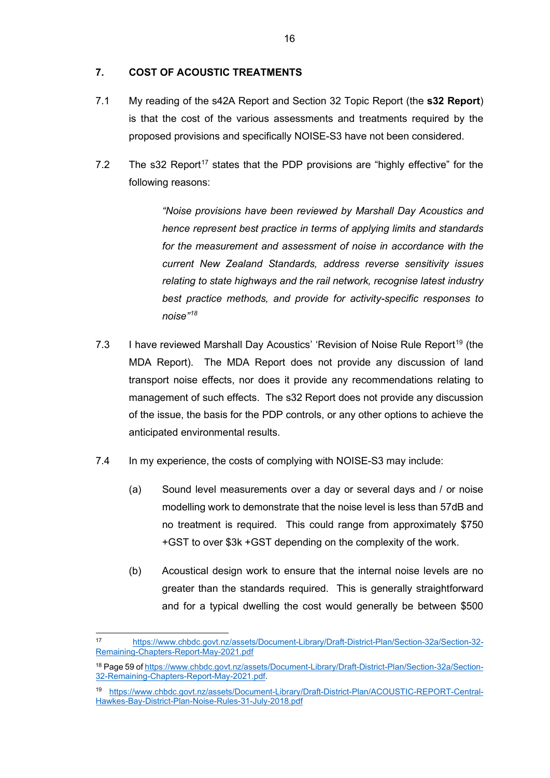## **7. COST OF ACOUSTIC TREATMENTS**

- 7.1 My reading of the s42A Report and Section 32 Topic Report (the **s32 Report**) is that the cost of the various assessments and treatments required by the proposed provisions and specifically NOISE-S3 have not been considered.
- 7.2 The s32 Report<sup>[17](#page-15-0)</sup> states that the PDP provisions are "highly effective" for the following reasons:

*"Noise provisions have been reviewed by Marshall Day Acoustics and hence represent best practice in terms of applying limits and standards for the measurement and assessment of noise in accordance with the current New Zealand Standards, address reverse sensitivity issues relating to state highways and the rail network, recognise latest industry best practice methods, and provide for activity-specific responses to noise" [18](#page-15-1)*

- 7.3 I have reviewed Marshall Day Acoustics' 'Revision of Noise Rule Report<sup>[19](#page-15-2)</sup> (the MDA Report). The MDA Report does not provide any discussion of land transport noise effects, nor does it provide any recommendations relating to management of such effects. The s32 Report does not provide any discussion of the issue, the basis for the PDP controls, or any other options to achieve the anticipated environmental results.
- 7.4 In my experience, the costs of complying with NOISE-S3 may include:
	- (a) Sound level measurements over a day or several days and / or noise modelling work to demonstrate that the noise level is less than 57dB and no treatment is required. This could range from approximately \$750 +GST to over \$3k +GST depending on the complexity of the work.
	- (b) Acoustical design work to ensure that the internal noise levels are no greater than the standards required. This is generally straightforward and for a typical dwelling the cost would generally be between \$500

<span id="page-15-0"></span><sup>17</sup> [https://www.chbdc.govt.nz/assets/Document-Library/Draft-District-Plan/Section-32a/Section-32-](https://www.chbdc.govt.nz/assets/Document-Library/Draft-District-Plan/Section-32a/Section-32-Remaining-Chapters-Report-May-2021.pdf) [Remaining-Chapters-Report-May-2021.pdf](https://www.chbdc.govt.nz/assets/Document-Library/Draft-District-Plan/Section-32a/Section-32-Remaining-Chapters-Report-May-2021.pdf) 

<span id="page-15-1"></span><sup>18</sup> Page 59 o[f https://www.chbdc.govt.nz/assets/Document-Library/Draft-District-Plan/Section-32a/Section-](https://www.chbdc.govt.nz/assets/Document-Library/Draft-District-Plan/Section-32a/Section-32-Remaining-Chapters-Report-May-2021.pdf)[32-Remaining-Chapters-Report-May-2021.pdf.](https://www.chbdc.govt.nz/assets/Document-Library/Draft-District-Plan/Section-32a/Section-32-Remaining-Chapters-Report-May-2021.pdf)

<span id="page-15-2"></span><sup>19</sup> [https://www.chbdc.govt.nz/assets/Document-Library/Draft-District-Plan/ACOUSTIC-REPORT-Central-](https://www.chbdc.govt.nz/assets/Document-Library/Draft-District-Plan/ACOUSTIC-REPORT-Central-Hawkes-Bay-District-Plan-Noise-Rules-31-July-2018.pdf)[Hawkes-Bay-District-Plan-Noise-Rules-31-July-2018.pdf](https://www.chbdc.govt.nz/assets/Document-Library/Draft-District-Plan/ACOUSTIC-REPORT-Central-Hawkes-Bay-District-Plan-Noise-Rules-31-July-2018.pdf)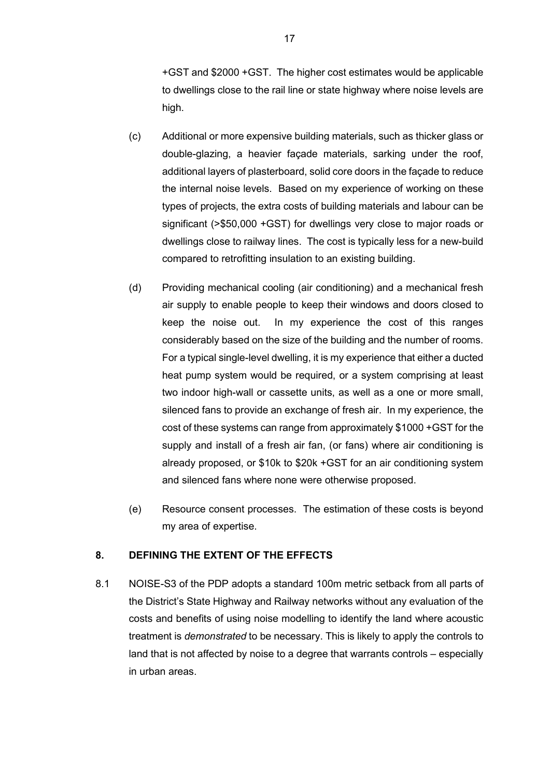+GST and \$2000 +GST. The higher cost estimates would be applicable to dwellings close to the rail line or state highway where noise levels are high.

- (c) Additional or more expensive building materials, such as thicker glass or double-glazing, a heavier façade materials, sarking under the roof, additional layers of plasterboard, solid core doors in the façade to reduce the internal noise levels. Based on my experience of working on these types of projects, the extra costs of building materials and labour can be significant (>\$50,000 +GST) for dwellings very close to major roads or dwellings close to railway lines. The cost is typically less for a new-build compared to retrofitting insulation to an existing building.
- (d) Providing mechanical cooling (air conditioning) and a mechanical fresh air supply to enable people to keep their windows and doors closed to keep the noise out. In my experience the cost of this ranges considerably based on the size of the building and the number of rooms. For a typical single-level dwelling, it is my experience that either a ducted heat pump system would be required, or a system comprising at least two indoor high-wall or cassette units, as well as a one or more small, silenced fans to provide an exchange of fresh air. In my experience, the cost of these systems can range from approximately \$1000 +GST for the supply and install of a fresh air fan, (or fans) where air conditioning is already proposed, or \$10k to \$20k +GST for an air conditioning system and silenced fans where none were otherwise proposed.
- (e) Resource consent processes. The estimation of these costs is beyond my area of expertise.

## **8. DEFINING THE EXTENT OF THE EFFECTS**

8.1 NOISE-S3 of the PDP adopts a standard 100m metric setback from all parts of the District's State Highway and Railway networks without any evaluation of the costs and benefits of using noise modelling to identify the land where acoustic treatment is *demonstrated* to be necessary. This is likely to apply the controls to land that is not affected by noise to a degree that warrants controls – especially in urban areas.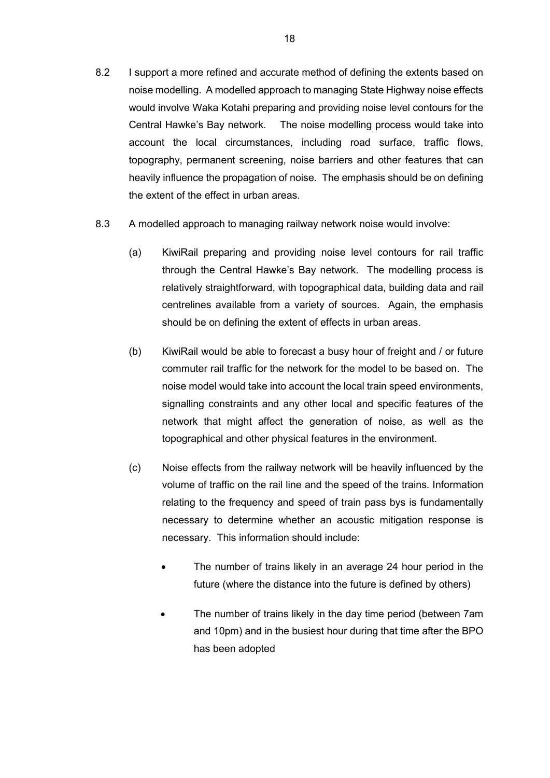- 8.2 I support a more refined and accurate method of defining the extents based on noise modelling. A modelled approach to managing State Highway noise effects would involve Waka Kotahi preparing and providing noise level contours for the Central Hawke's Bay network. The noise modelling process would take into account the local circumstances, including road surface, traffic flows, topography, permanent screening, noise barriers and other features that can heavily influence the propagation of noise. The emphasis should be on defining the extent of the effect in urban areas.
- 8.3 A modelled approach to managing railway network noise would involve:
	- (a) KiwiRail preparing and providing noise level contours for rail traffic through the Central Hawke's Bay network. The modelling process is relatively straightforward, with topographical data, building data and rail centrelines available from a variety of sources. Again, the emphasis should be on defining the extent of effects in urban areas.
	- (b) KiwiRail would be able to forecast a busy hour of freight and / or future commuter rail traffic for the network for the model to be based on. The noise model would take into account the local train speed environments, signalling constraints and any other local and specific features of the network that might affect the generation of noise, as well as the topographical and other physical features in the environment.
	- (c) Noise effects from the railway network will be heavily influenced by the volume of traffic on the rail line and the speed of the trains. Information relating to the frequency and speed of train pass bys is fundamentally necessary to determine whether an acoustic mitigation response is necessary. This information should include:
		- The number of trains likely in an average 24 hour period in the future (where the distance into the future is defined by others)
		- The number of trains likely in the day time period (between 7am and 10pm) and in the busiest hour during that time after the BPO has been adopted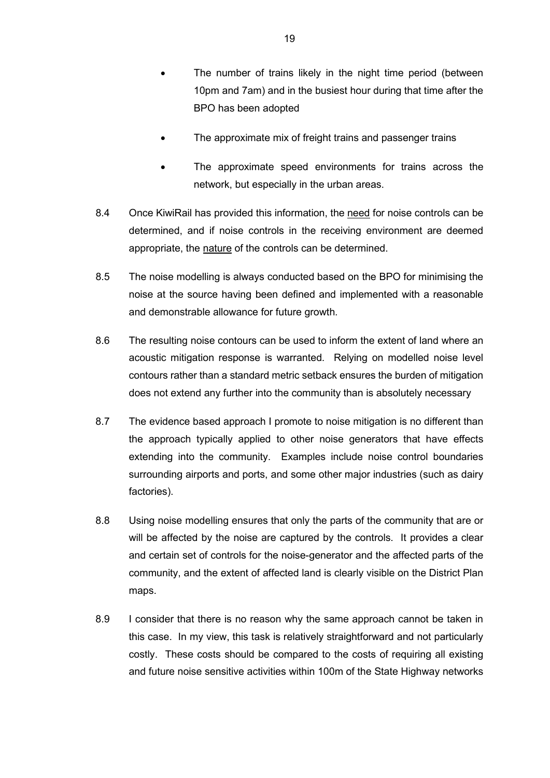- The number of trains likely in the night time period (between 10pm and 7am) and in the busiest hour during that time after the BPO has been adopted
- The approximate mix of freight trains and passenger trains
- The approximate speed environments for trains across the network, but especially in the urban areas.
- 8.4 Once KiwiRail has provided this information, the need for noise controls can be determined, and if noise controls in the receiving environment are deemed appropriate, the nature of the controls can be determined.
- 8.5 The noise modelling is always conducted based on the BPO for minimising the noise at the source having been defined and implemented with a reasonable and demonstrable allowance for future growth.
- 8.6 The resulting noise contours can be used to inform the extent of land where an acoustic mitigation response is warranted. Relying on modelled noise level contours rather than a standard metric setback ensures the burden of mitigation does not extend any further into the community than is absolutely necessary
- 8.7 The evidence based approach I promote to noise mitigation is no different than the approach typically applied to other noise generators that have effects extending into the community. Examples include noise control boundaries surrounding airports and ports, and some other major industries (such as dairy factories).
- 8.8 Using noise modelling ensures that only the parts of the community that are or will be affected by the noise are captured by the controls. It provides a clear and certain set of controls for the noise-generator and the affected parts of the community, and the extent of affected land is clearly visible on the District Plan maps.
- 8.9 I consider that there is no reason why the same approach cannot be taken in this case. In my view, this task is relatively straightforward and not particularly costly. These costs should be compared to the costs of requiring all existing and future noise sensitive activities within 100m of the State Highway networks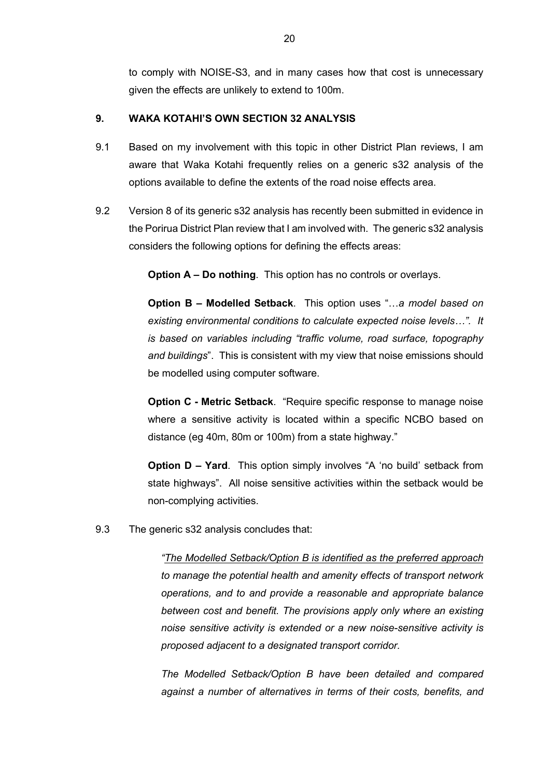to comply with NOISE-S3, and in many cases how that cost is unnecessary given the effects are unlikely to extend to 100m.

## **9. WAKA KOTAHI'S OWN SECTION 32 ANALYSIS**

- 9.1 Based on my involvement with this topic in other District Plan reviews, I am aware that Waka Kotahi frequently relies on a generic s32 analysis of the options available to define the extents of the road noise effects area.
- 9.2 Version 8 of its generic s32 analysis has recently been submitted in evidence in the Porirua District Plan review that I am involved with. The generic s32 analysis considers the following options for defining the effects areas:

**Option A – Do nothing**. This option has no controls or overlays.

**Option B – Modelled Setback**. This option uses "…*a model based on existing environmental conditions to calculate expected noise levels…". It is based on variables including "traffic volume, road surface, topography and buildings*". This is consistent with my view that noise emissions should be modelled using computer software.

**Option C - Metric Setback**. "Require specific response to manage noise where a sensitive activity is located within a specific NCBO based on distance (eg 40m, 80m or 100m) from a state highway."

**Option D – Yard**. This option simply involves "A 'no build' setback from state highways". All noise sensitive activities within the setback would be non-complying activities.

9.3 The generic s32 analysis concludes that:

*"The Modelled Setback/Option B is identified as the preferred approach to manage the potential health and amenity effects of transport network operations, and to and provide a reasonable and appropriate balance between cost and benefit. The provisions apply only where an existing noise sensitive activity is extended or a new noise-sensitive activity is proposed adjacent to a designated transport corridor.* 

*The Modelled Setback/Option B have been detailed and compared against a number of alternatives in terms of their costs, benefits, and*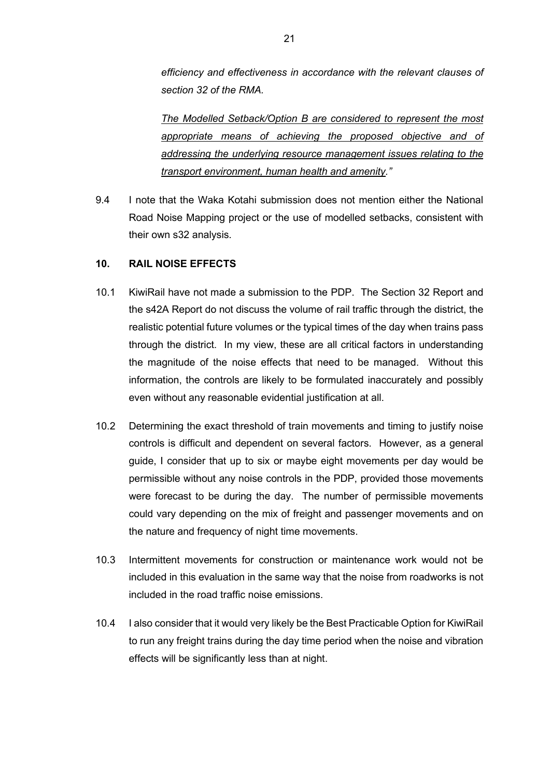*efficiency and effectiveness in accordance with the relevant clauses of section 32 of the RMA.* 

*The Modelled Setback/Option B are considered to represent the most appropriate means of achieving the proposed objective and of addressing the underlying resource management issues relating to the transport environment, human health and amenity."*

9.4 I note that the Waka Kotahi submission does not mention either the National Road Noise Mapping project or the use of modelled setbacks, consistent with their own s32 analysis.

#### **10. RAIL NOISE EFFECTS**

- 10.1 KiwiRail have not made a submission to the PDP. The Section 32 Report and the s42A Report do not discuss the volume of rail traffic through the district, the realistic potential future volumes or the typical times of the day when trains pass through the district. In my view, these are all critical factors in understanding the magnitude of the noise effects that need to be managed. Without this information, the controls are likely to be formulated inaccurately and possibly even without any reasonable evidential justification at all.
- 10.2 Determining the exact threshold of train movements and timing to justify noise controls is difficult and dependent on several factors. However, as a general guide, I consider that up to six or maybe eight movements per day would be permissible without any noise controls in the PDP, provided those movements were forecast to be during the day. The number of permissible movements could vary depending on the mix of freight and passenger movements and on the nature and frequency of night time movements.
- 10.3 Intermittent movements for construction or maintenance work would not be included in this evaluation in the same way that the noise from roadworks is not included in the road traffic noise emissions.
- 10.4 I also consider that it would very likely be the Best Practicable Option for KiwiRail to run any freight trains during the day time period when the noise and vibration effects will be significantly less than at night.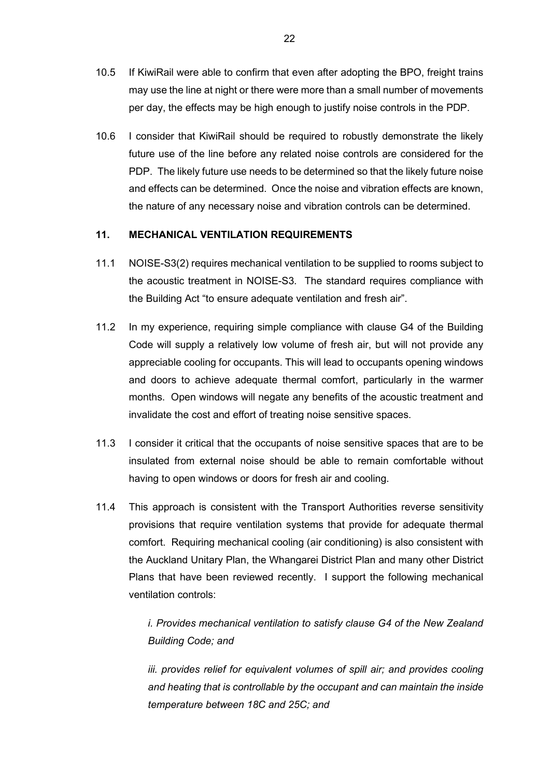- 10.5 If KiwiRail were able to confirm that even after adopting the BPO, freight trains may use the line at night or there were more than a small number of movements per day, the effects may be high enough to justify noise controls in the PDP.
- 10.6 I consider that KiwiRail should be required to robustly demonstrate the likely future use of the line before any related noise controls are considered for the PDP. The likely future use needs to be determined so that the likely future noise and effects can be determined. Once the noise and vibration effects are known, the nature of any necessary noise and vibration controls can be determined.

## **11. MECHANICAL VENTILATION REQUIREMENTS**

- 11.1 NOISE-S3(2) requires mechanical ventilation to be supplied to rooms subject to the acoustic treatment in NOISE-S3. The standard requires compliance with the Building Act "to ensure adequate ventilation and fresh air".
- 11.2 In my experience, requiring simple compliance with clause G4 of the Building Code will supply a relatively low volume of fresh air, but will not provide any appreciable cooling for occupants. This will lead to occupants opening windows and doors to achieve adequate thermal comfort, particularly in the warmer months. Open windows will negate any benefits of the acoustic treatment and invalidate the cost and effort of treating noise sensitive spaces.
- 11.3 I consider it critical that the occupants of noise sensitive spaces that are to be insulated from external noise should be able to remain comfortable without having to open windows or doors for fresh air and cooling.
- 11.4 This approach is consistent with the Transport Authorities reverse sensitivity provisions that require ventilation systems that provide for adequate thermal comfort. Requiring mechanical cooling (air conditioning) is also consistent with the Auckland Unitary Plan, the Whangarei District Plan and many other District Plans that have been reviewed recently. I support the following mechanical ventilation controls:

*i. Provides mechanical ventilation to satisfy clause G4 of the New Zealand Building Code; and* 

*iii. provides relief for equivalent volumes of spill air; and provides cooling and heating that is controllable by the occupant and can maintain the inside temperature between 18C and 25C; and*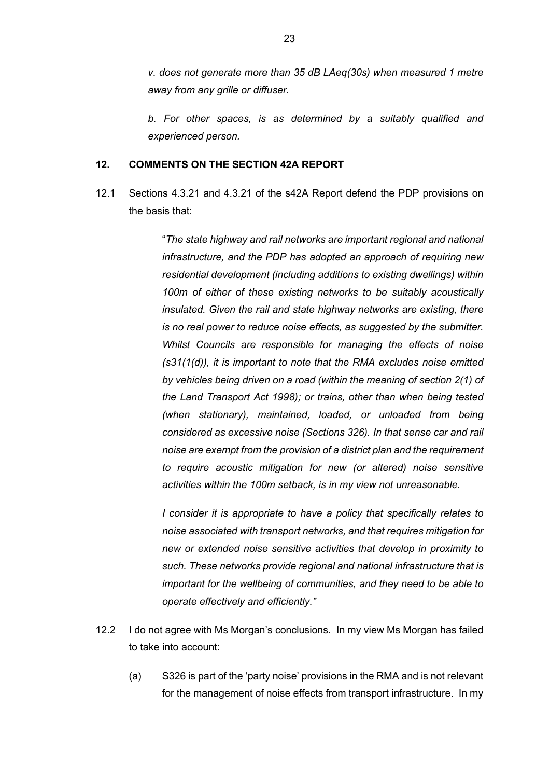*v. does not generate more than 35 dB LAeq(30s) when measured 1 metre away from any grille or diffuser.* 

*b. For other spaces, is as determined by a suitably qualified and experienced person.*

#### **12. COMMENTS ON THE SECTION 42A REPORT**

12.1 Sections 4.3.21 and 4.3.21 of the s42A Report defend the PDP provisions on the basis that:

> "*The state highway and rail networks are important regional and national infrastructure, and the PDP has adopted an approach of requiring new residential development (including additions to existing dwellings) within 100m of either of these existing networks to be suitably acoustically insulated. Given the rail and state highway networks are existing, there is no real power to reduce noise effects, as suggested by the submitter. Whilst Councils are responsible for managing the effects of noise (s31(1(d)), it is important to note that the RMA excludes noise emitted by vehicles being driven on a road (within the meaning of section 2(1) of the Land Transport Act 1998); or trains, other than when being tested (when stationary), maintained, loaded, or unloaded from being considered as excessive noise (Sections 326). In that sense car and rail noise are exempt from the provision of a district plan and the requirement to require acoustic mitigation for new (or altered) noise sensitive activities within the 100m setback, is in my view not unreasonable.*

> *I consider it is appropriate to have a policy that specifically relates to noise associated with transport networks, and that requires mitigation for new or extended noise sensitive activities that develop in proximity to such. These networks provide regional and national infrastructure that is important for the wellbeing of communities, and they need to be able to operate effectively and efficiently."*

- 12.2 I do not agree with Ms Morgan's conclusions. In my view Ms Morgan has failed to take into account:
	- (a) S326 is part of the 'party noise' provisions in the RMA and is not relevant for the management of noise effects from transport infrastructure. In my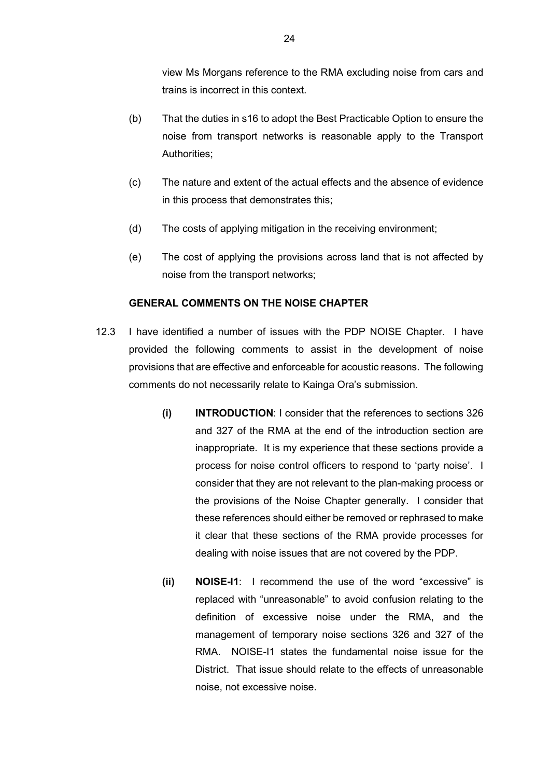view Ms Morgans reference to the RMA excluding noise from cars and trains is incorrect in this context.

- (b) That the duties in s16 to adopt the Best Practicable Option to ensure the noise from transport networks is reasonable apply to the Transport Authorities;
- (c) The nature and extent of the actual effects and the absence of evidence in this process that demonstrates this;
- (d) The costs of applying mitigation in the receiving environment;
- (e) The cost of applying the provisions across land that is not affected by noise from the transport networks;

#### **GENERAL COMMENTS ON THE NOISE CHAPTER**

- 12.3 I have identified a number of issues with the PDP NOISE Chapter. I have provided the following comments to assist in the development of noise provisions that are effective and enforceable for acoustic reasons. The following comments do not necessarily relate to Kainga Ora's submission.
	- **(i) INTRODUCTION**: I consider that the references to sections 326 and 327 of the RMA at the end of the introduction section are inappropriate. It is my experience that these sections provide a process for noise control officers to respond to 'party noise'. I consider that they are not relevant to the plan-making process or the provisions of the Noise Chapter generally. I consider that these references should either be removed or rephrased to make it clear that these sections of the RMA provide processes for dealing with noise issues that are not covered by the PDP.
	- **(ii) NOISE-I1**: I recommend the use of the word "excessive" is replaced with "unreasonable" to avoid confusion relating to the definition of excessive noise under the RMA, and the management of temporary noise sections 326 and 327 of the RMA. NOISE-I1 states the fundamental noise issue for the District. That issue should relate to the effects of unreasonable noise, not excessive noise.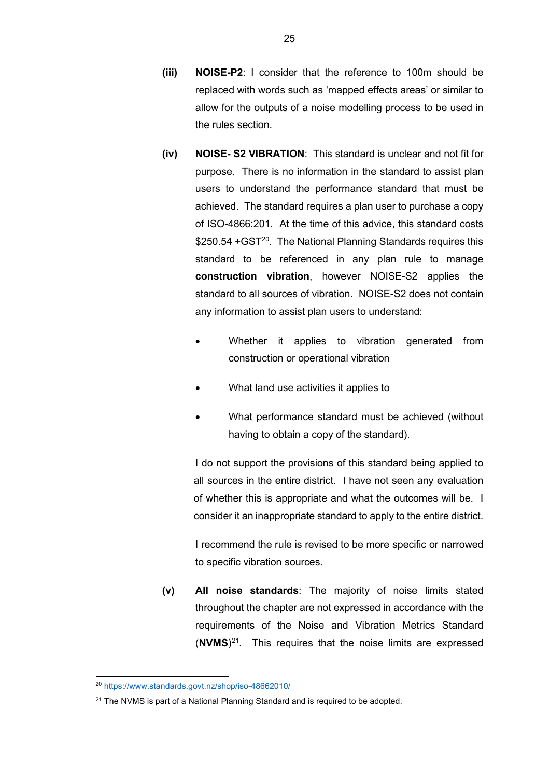- **(iii) NOISE-P2**: I consider that the reference to 100m should be replaced with words such as 'mapped effects areas' or similar to allow for the outputs of a noise modelling process to be used in the rules section.
- **(iv) NOISE- S2 VIBRATION**: This standard is unclear and not fit for purpose. There is no information in the standard to assist plan users to understand the performance standard that must be achieved. The standard requires a plan user to purchase a copy of ISO-4866:201. At the time of this advice, this standard costs \$250.54 +GST<sup>[20](#page-24-0)</sup>. The National Planning Standards requires this standard to be referenced in any plan rule to manage **construction vibration**, however NOISE-S2 applies the standard to all sources of vibration. NOISE-S2 does not contain any information to assist plan users to understand:
	- Whether it applies to vibration generated from construction or operational vibration
	- What land use activities it applies to
	- What performance standard must be achieved (without having to obtain a copy of the standard).

I do not support the provisions of this standard being applied to all sources in the entire district. I have not seen any evaluation of whether this is appropriate and what the outcomes will be. I consider it an inappropriate standard to apply to the entire district.

I recommend the rule is revised to be more specific or narrowed to specific vibration sources.

**(v) All noise standards**: The majority of noise limits stated throughout the chapter are not expressed in accordance with the requirements of the Noise and Vibration Metrics Standard (**NVMS**)[21.](#page-24-1) This requires that the noise limits are expressed

<span id="page-24-0"></span><sup>20</sup> <https://www.standards.govt.nz/shop/iso-48662010/>

<span id="page-24-1"></span> $21$  The NVMS is part of a National Planning Standard and is required to be adopted.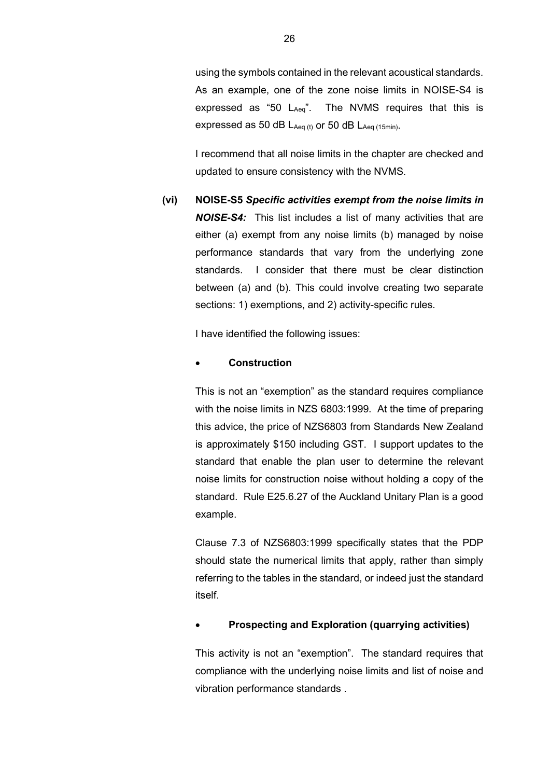using the symbols contained in the relevant acoustical standards. As an example, one of the zone noise limits in NOISE-S4 is expressed as "50 LAeq". The NVMS requires that this is expressed as 50 dB  $L_{Aeq}$  (t) or 50 dB  $L_{Aeq}$  (15min).

I recommend that all noise limits in the chapter are checked and updated to ensure consistency with the NVMS.

**(vi) NOISE-S5** *Specific activities exempt from the noise limits in NOISE-S4:*This list includes a list of many activities that are either (a) exempt from any noise limits (b) managed by noise performance standards that vary from the underlying zone standards. I consider that there must be clear distinction between (a) and (b). This could involve creating two separate sections: 1) exemptions, and 2) activity-specific rules.

I have identified the following issues:

#### • **Construction**

This is not an "exemption" as the standard requires compliance with the noise limits in NZS 6803:1999. At the time of preparing this advice, the price of NZS6803 from Standards New Zealand is approximately \$150 including GST. I support updates to the standard that enable the plan user to determine the relevant noise limits for construction noise without holding a copy of the standard. Rule E25.6.27 of the Auckland Unitary Plan is a good example.

Clause 7.3 of NZS6803:1999 specifically states that the PDP should state the numerical limits that apply, rather than simply referring to the tables in the standard, or indeed just the standard itself.

#### • **Prospecting and Exploration (quarrying activities)**

This activity is not an "exemption". The standard requires that compliance with the underlying noise limits and list of noise and vibration performance standards .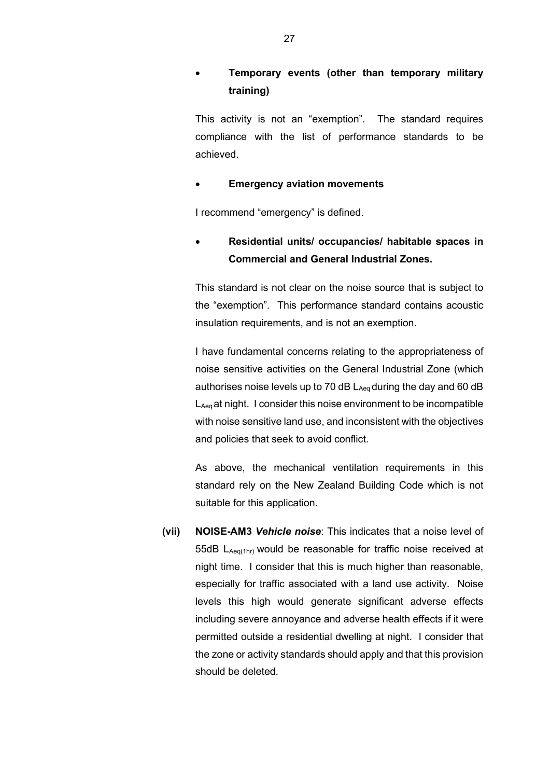# • **Temporary events (other than temporary military training)**

This activity is not an "exemption". The standard requires compliance with the list of performance standards to be achieved.

## **Emergency aviation movements**

I recommend "emergency" is defined.

# • **Residential units/ occupancies/ habitable spaces in Commercial and General Industrial Zones.**

This standard is not clear on the noise source that is subject to the "exemption". This performance standard contains acoustic insulation requirements, and is not an exemption.

I have fundamental concerns relating to the appropriateness of noise sensitive activities on the General Industrial Zone (which authorises noise levels up to 70 dB  $L_{Aeq}$  during the day and 60 dB L<sub>Aeg</sub> at night. I consider this noise environment to be incompatible with noise sensitive land use, and inconsistent with the objectives and policies that seek to avoid conflict.

As above, the mechanical ventilation requirements in this standard rely on the New Zealand Building Code which is not suitable for this application.

**(vii) NOISE-AM3** *Vehicle noise*: This indicates that a noise level of 55dB LAeq(1hr) would be reasonable for traffic noise received at night time. I consider that this is much higher than reasonable, especially for traffic associated with a land use activity. Noise levels this high would generate significant adverse effects including severe annoyance and adverse health effects if it were permitted outside a residential dwelling at night. I consider that the zone or activity standards should apply and that this provision should be deleted.